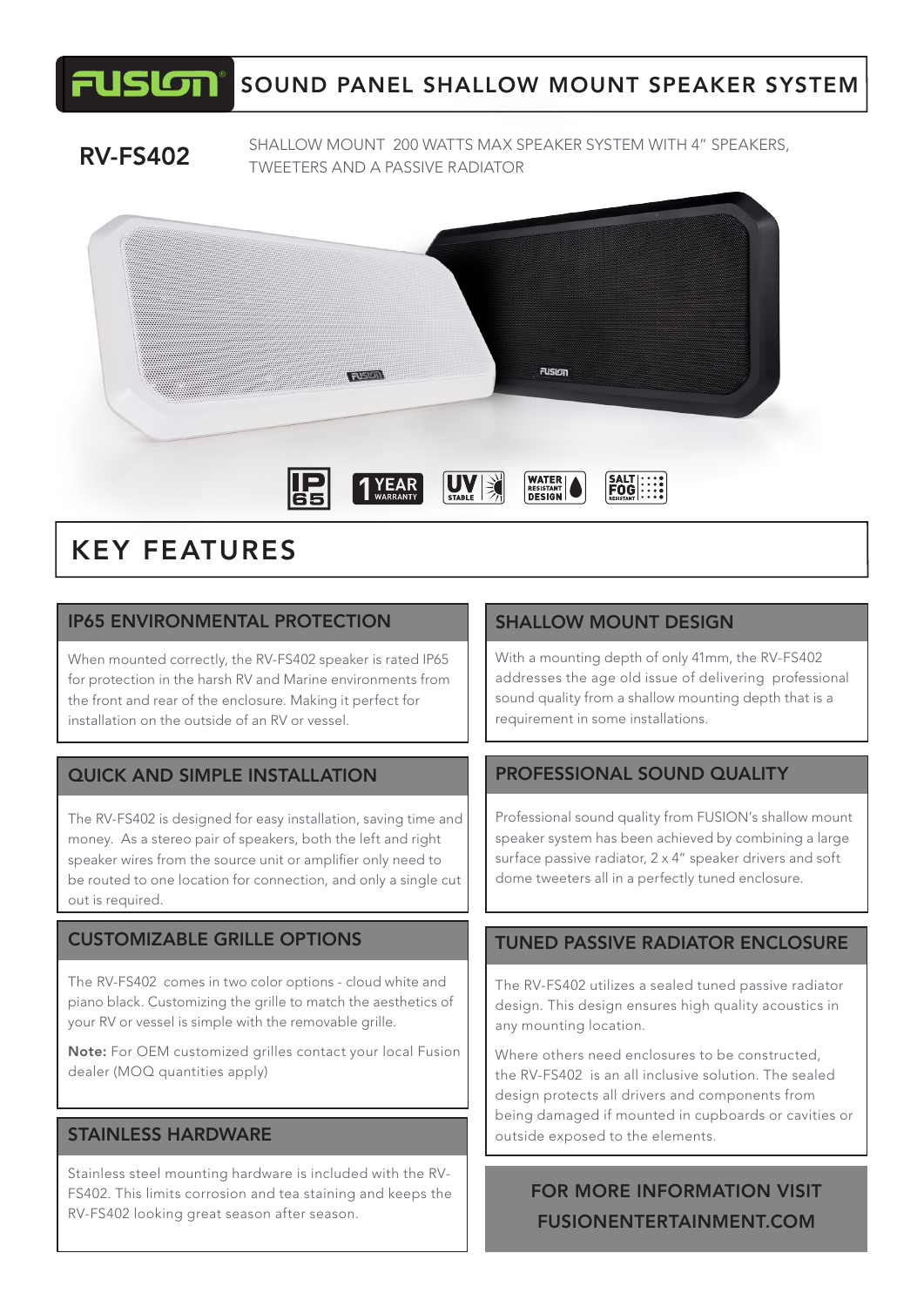## FUSION SOUND PANEL SHALLOW MOUNT SPEAKER SYSTEM

SHALLOW MOUNT 200 WATTS MAX SPEAKER SYSTEM WITH 4" SPEAKERS, **RV-FS402** TWEETERS AND A PASSIVE RADIATOR



## KEY FEATURES

### IP65 ENVIRONMENTAL PROTECTION

When mounted correctly, the RV-FS402 speaker is rated IP65 for protection in the harsh RV and Marine environments from the front and rear of the enclosure. Making it perfect for installation on the outside of an RV or vessel.

### QUICK AND SIMPLE INSTALLATION

The RV-FS402 is designed for easy installation, saving time and money. As a stereo pair of speakers, both the left and right speaker wires from the source unit or amplifier only need to be routed to one location for connection, and only a single cut out is required.

#### CUSTOMIZABLE GRILLE OPTIONS

The RV-FS402 comes in two color options - cloud white and piano black. Customizing the grille to match the aesthetics of your RV or vessel is simple with the removable grille.

Note: For OEM customized grilles contact your local Fusion dealer (MOQ quantities apply)

Stainless steel mounting hardware is included with the RV-FS402. This limits corrosion and tea staining and keeps the RV-FS402 looking great season after season.

#### SHALLOW MOUNT DESIGN

With a mounting depth of only 41mm, the RV-FS402 addresses the age old issue of delivering professional sound quality from a shallow mounting depth that is a requirement in some installations.

#### PROFESSIONAL SOUND QUALITY

Professional sound quality from FUSION's shallow mount speaker system has been achieved by combining a large surface passive radiator, 2 x 4" speaker drivers and soft dome tweeters all in a perfectly tuned enclosure.

### TUNED PASSIVE RADIATOR ENCLOSURE

The RV-FS402 utilizes a sealed tuned passive radiator design. This design ensures high quality acoustics in any mounting location.

Where others need enclosures to be constructed, the RV-FS402 is an all inclusive solution. The sealed design protects all drivers and components from being damaged if mounted in cupboards or cavities or **STAINLESS HARDWARE Expansion of the elements. If all outside exposed to the elements.** 

## FOR MORE INFORMATION VISIT FUSIONENTERTAINMENT.COM